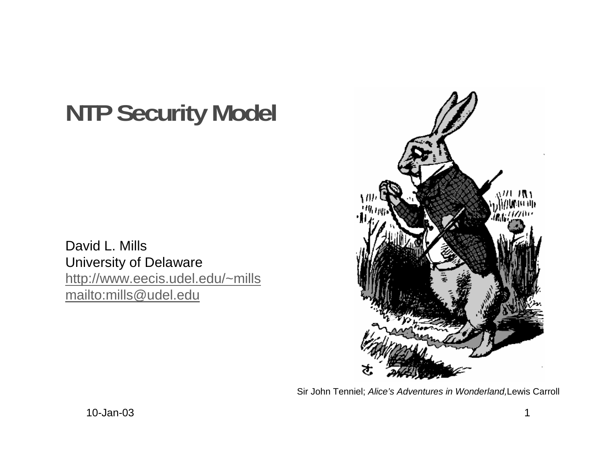# **NTP Security Model**

David L. Mills University of Delaware http://www.eecis.udel.edu/~mills mailto:mills@udel.edu



Sir John Tenniel; Alice's Adventures in Wonderland,Lewis Carroll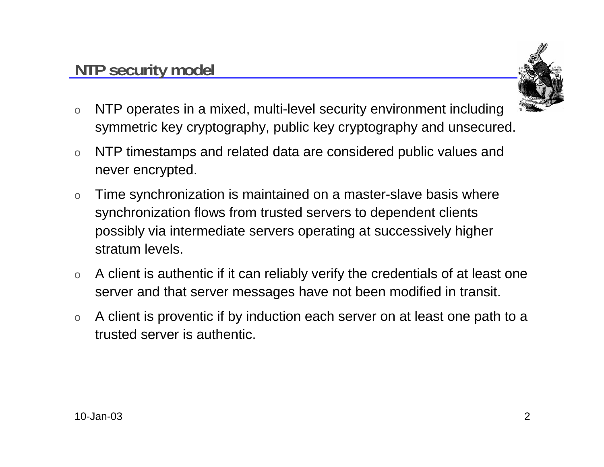

- o NTP operates in a mixed, multi-level security environment including symmetric key cryptography, public key cryptography and unsecured.
- o NTP timestamps and related data are considered public values and never encrypted.
- o Time synchronization is maintained on a master-slave basis where synchronization flows from trusted servers to dependent clients possibly via intermediate servers operating at successively higher stratum levels.
- o A client is authentic if it can reliably verify the credentials of at least one server and that server messages have not been modified in transit.
- o A client is proventic if by induction each server on at least one path to a trusted server is authentic.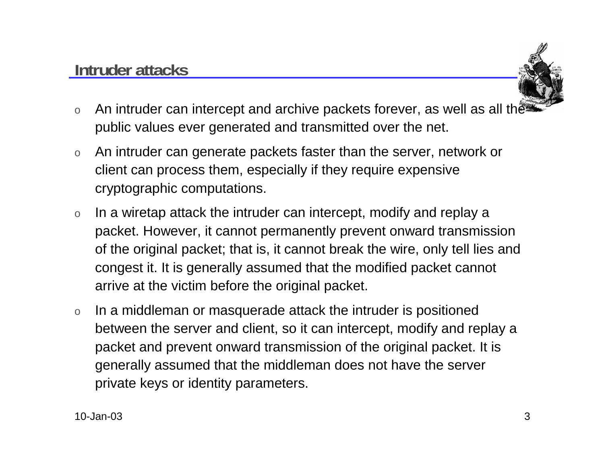

- oAn intruder can intercept and archive packets forever, as well as all the public values ever generated and transmitted over the net.
- o An intruder can generate packets faster than the server, network or client can process them, especially if they require expensive cryptographic computations.
- o In a wiretap attack the intruder can intercept, modify and replay a packet. However, it cannot permanently prevent onward transmission of the original packet; that is, it cannot break the wire, only tell lies and congest it. It is generally assumed that the modified packet cannot arrive at the victim before the original packet.
- o In a middleman or masquerade attack the intruder is positioned between the server and client, so it can intercept, modify and replay a packet and prevent onward transmission of the original packet. It is generally assumed that the middleman does not have the server private keys or identity parameters.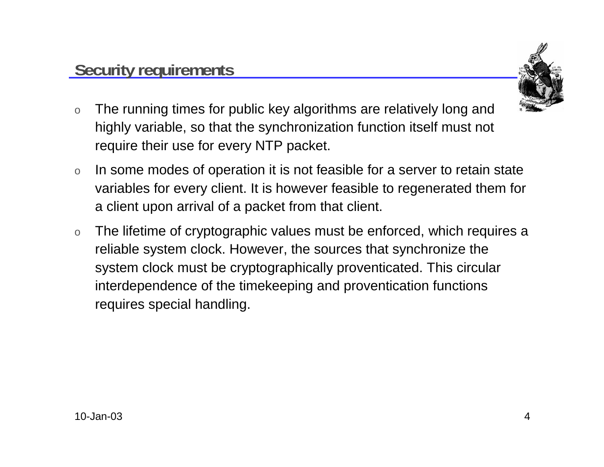

- o The running times for public key algorithms are relatively long and highly variable, so that the synchronization function itself must not require their use for every NTP packet.
- o In some modes of operation it is not feasible for a server to retain state variables for every client. It is however feasible to regenerated them for a client upon arrival of a packet from that client.
- o The lifetime of cryptographic values must be enforced, which requires a reliable system clock. However, the sources that synchronize the system clock must be cryptographically proventicated. This circular interdependence of the timekeeping and proventication functions requires special handling.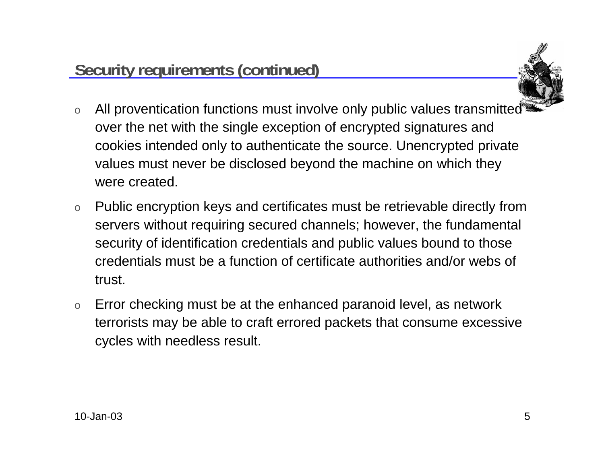

- o All proventication functions must involve only public values transmitted over the net with the single exception of encrypted signatures and cookies intended only to authenticate the source. Unencrypted private values must never be disclosed beyond the machine on which they were created.
- o Public encryption keys and certificates must be retrievable directly from servers without requiring secured channels; however, the fundamental security of identification credentials and public values bound to those credentials must be a function of certificate authorities and/or webs of trust.
- o Error checking must be at the enhanced paranoid level, as network terrorists may be able to craft errored packets that consume excessive cycles with needless result.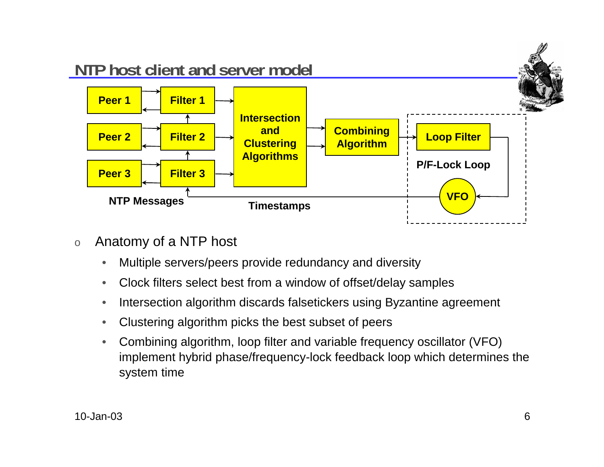

- o Anatomy of a NTP host
	- •Multiple servers/peers provide redundancy and diversity
	- •Clock filters select best from a window of offset/delay samples
	- •Intersection algorithm discards falsetickers using Byzantine agreement
	- •Clustering algorithm picks the best subset of peers
	- $\bullet$  Combining algorithm, loop filter and variable frequency oscillator (VFO) implement hybrid phase/frequency-lock feedback loop which determines the system time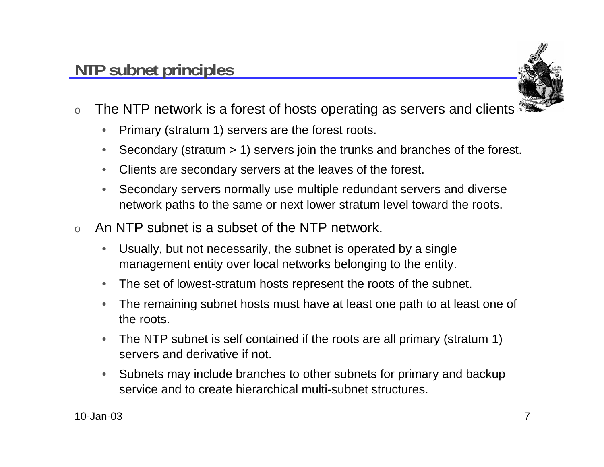

- o The NTP network is a forest of hosts operating as servers and clients
	- $\bullet$ Primary (stratum 1) servers are the forest roots.
	- •Secondary (stratum > 1) servers join the trunks and branches of the forest.
	- •Clients are secondary servers at the leaves of the forest.
	- • Secondary servers normally use multiple redundant servers and diverse network paths to the same or next lower stratum level toward the roots.
- o An NTP subnet is a subset of the NTP network.
	- $\bullet$  Usually, but not necessarily, the subnet is operated by a single management entity over local networks belonging to the entity.
	- $\bullet$ The set of lowest-stratum hosts represent the roots of the subnet.
	- $\bullet$  The remaining subnet hosts must have at least one path to at least one of the roots.
	- • The NTP subnet is self contained if the roots are all primary (stratum 1) servers and derivative if not.
	- $\bullet$  Subnets may include branches to other subnets for primary and backup service and to create hierarchical multi-subnet structures.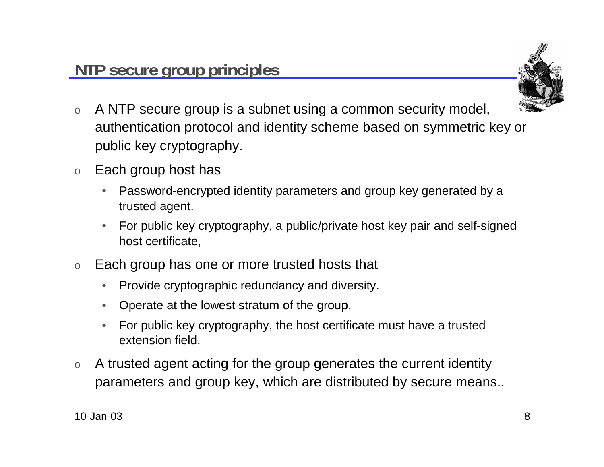

- o A NTP secure group is a subnet using a common security model, authentication protocol and identity scheme based on symmetric key or public key cryptography.
- o Each group host has
	- • Password-encrypted identity parameters and group key generated by a trusted agent.
	- • For public key cryptography, a public/private host key pair and self-signed host certificate,
- o Each group has one or more trusted hosts that
	- $\bullet$ Provide cryptographic redundancy and diversity.
	- Operate at the lowest stratum of the group.
	- • For public key cryptography, the host certificate must have a trusted extension field.
- o A trusted agent acting for the group generates the current identity parameters and group key, which are distributed by secure means..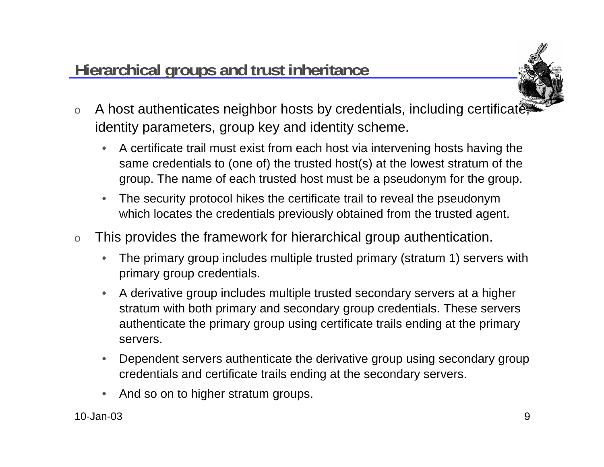## **Hierarchical groups and trust inheritance**



- oA host authenticates neighbor hosts by credentials, including certificate identity parameters, group key and identity scheme.
	- $\bullet$  A certificate trail must exist from each host via intervening hosts having the same credentials to (one of) the trusted host(s) at the lowest stratum of the group. The name of each trusted host must be a pseudonym for the group.
	- $\bullet$  The security protocol hikes the certificate trail to reveal the pseudonym which locates the credentials previously obtained from the trusted agent.
- o This provides the framework for hierarchical group authentication.
	- • The primary group includes multiple trusted primary (stratum 1) servers with primary group credentials.
	- • A derivative group includes multiple trusted secondary servers at a higher stratum with both primary and secondary group credentials. These servers authenticate the primary group using certificate trails ending at the primary servers.
	- $\bullet$  Dependent servers authenticate the derivative group using secondary group credentials and certificate trails ending at the secondary servers.
	- •And so on to higher stratum groups.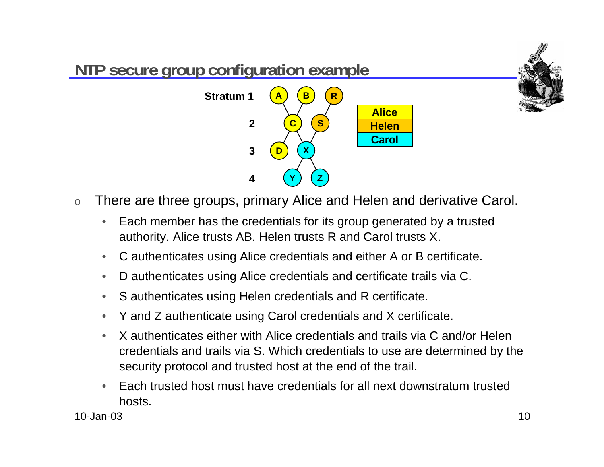

- o There are three groups, primary Alice and Helen and derivative Carol.
	- • Each member has the credentials for its group generated by a trusted authority. Alice trusts AB, Helen trusts R and Carol trusts X.
	- •C authenticates using Alice credentials and either A or B certificate.
	- $\bullet$ D authenticates using Alice credentials and certificate trails via C.
	- •S authenticates using Helen credentials and R certificate.
	- $\bullet$ Y and Z authenticate using Carol credentials and X certificate.
	- • X authenticates either with Alice credentials and trails via C and/or Helen credentials and trails via S. Which credentials to use are determined by the security protocol and trusted host at the end of the trail.
	- • Each trusted host must have credentials for all next downstratum trusted hosts.

10-Jan-03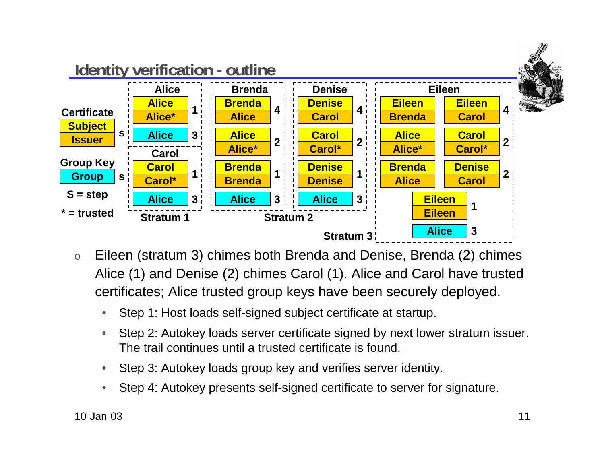

- o Eileen (stratum 3) chimes both Brenda and Denise, Brenda (2) chimes Alice (1) and Denise (2) chimes Carol (1). Alice and Carol have trusted certificates; Alice trusted group keys have been securely deployed.
	- •Step 1: Host loads self-signed subject certificate at startup.
	- • Step 2: Autokey loads server certificate signed by next lower stratum issuer. The trail continues until a trusted certificate is found.
	- $\bullet$ Step 3: Autokey loads group key and verifies server identity.
	- •Step 4: Autokey presents self-signed certificate to server for signature.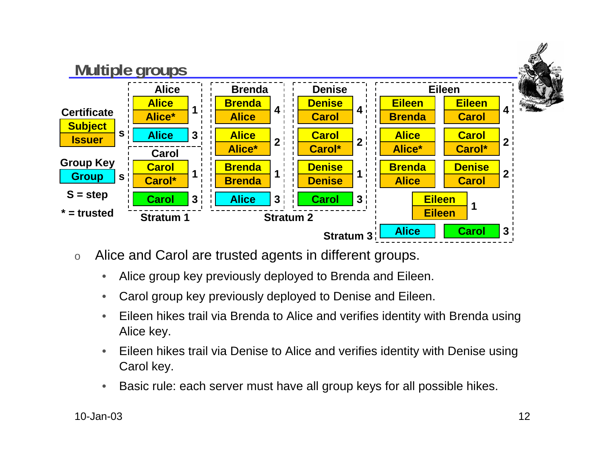

- o Alice and Carol are trusted agents in different groups.
	- •Alice group key previously deployed to Brenda and Eileen.
	- •Carol group key previously deployed to Denise and Eileen.
	- • Eileen hikes trail via Brenda to Alice and verifies identity with Brenda using Alice key.
	- • Eileen hikes trail via Denise to Alice and verifies identity with Denise using Carol key.
	- $\bullet$ Basic rule: each server must have all group keys for all possible hikes.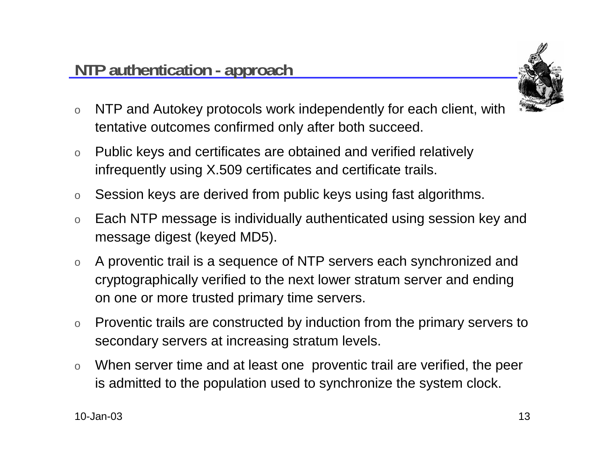

- o NTP and Autokey protocols work independently for each client, with tentative outcomes confirmed only after both succeed.
- o Public keys and certificates are obtained and verified relatively infrequently using X.509 certificates and certificate trails.
- oSession keys are derived from public keys using fast algorithms.
- o Each NTP message is individually authenticated using session key and message digest (keyed MD5).
- o A proventic trail is a sequence of NTP servers each synchronized and cryptographically verified to the next lower stratum server and ending on one or more trusted primary time servers.
- o Proventic trails are constructed by induction from the primary servers to secondary servers at increasing stratum levels.
- o When server time and at least one proventic trail are verified, the peer is admitted to the population used to synchronize the system clock.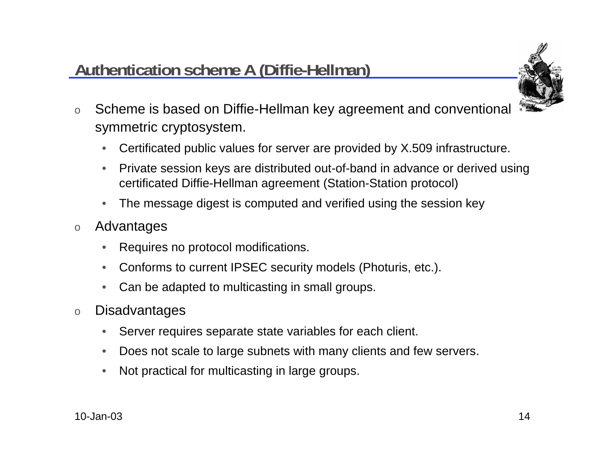### **Authentication scheme A (Diffie-Hellman)**



- o Scheme is based on Diffie-Hellman key agreement and conventional symmetric cryptosystem.
	- •Certificated public values for server are provided by X.509 infrastructure.
	- • Private session keys are distributed out-of-band in advance or derived using certificated Diffie-Hellman agreement (Station-Station protocol)
	- •The message digest is computed and verified using the session key
- o Advantages
	- •Requires no protocol modifications.
	- $\bullet$ Conforms to current IPSEC security models (Photuris, etc.).
	- $\bullet$ Can be adapted to multicasting in small groups.
- o**Disadvantages** 
	- •Server requires separate state variables for each client.
	- •Does not scale to large subnets with many clients and few servers.
	- •Not practical for multicasting in large groups.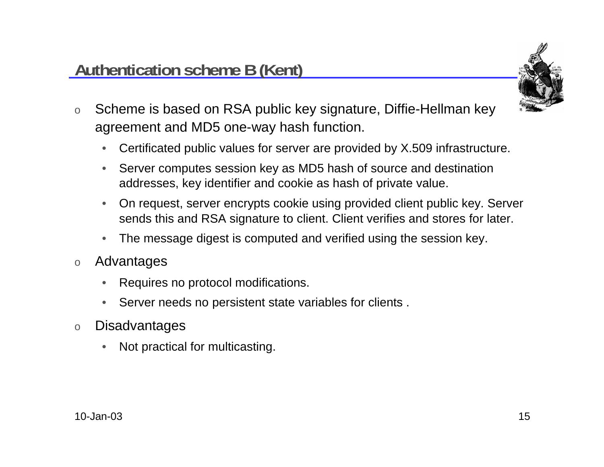

- o Scheme is based on RSA public key signature, Diffie-Hellman key agreement and MD5 one-way hash function.
	- $\bullet$ Certificated public values for server are provided by X.509 infrastructure.
	- • Server computes session key as MD5 hash of source and destination addresses, key identifier and cookie as hash of private value.
	- • On request, server encrypts cookie using provided client public key. Server sends this and RSA signature to client. Client verifies and stores for later.
	- •The message digest is computed and verified using the session key.
- o Advantages
	- •Requires no protocol modifications.
	- •Server needs no persistent state variables for clients .
- o**Disadvantages** 
	- •Not practical for multicasting.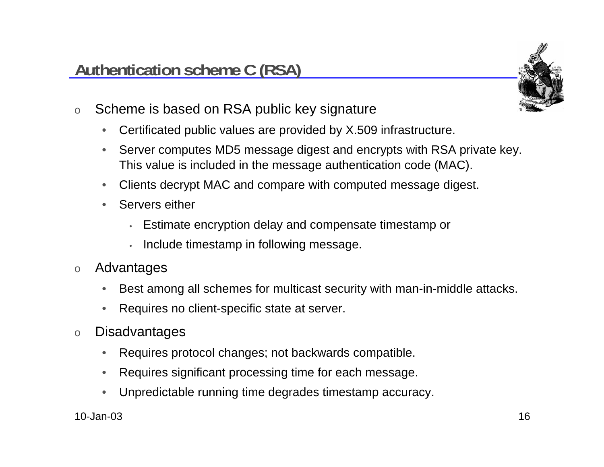

- o Scheme is based on RSA public key signature
	- $\bullet$ Certificated public values are provided by X.509 infrastructure.
	- • Server computes MD5 message digest and encrypts with RSA private key. This value is included in the message authentication code (MAC).
	- •Clients decrypt MAC and compare with computed message digest.
	- • Servers either
		- Estimate encryption delay and compensate timestamp or
		- Include timestamp in following message.
- o Advantages
	- •Best among all schemes for multicast security with man-in-middle attacks.
	- •Requires no client-specific state at server.
- o**Disadvantages** 
	- $\bullet$ Requires protocol changes; not backwards compatible.
	- $\bullet$ Requires significant processing time for each message.
	- •Unpredictable running time degrades timestamp accuracy.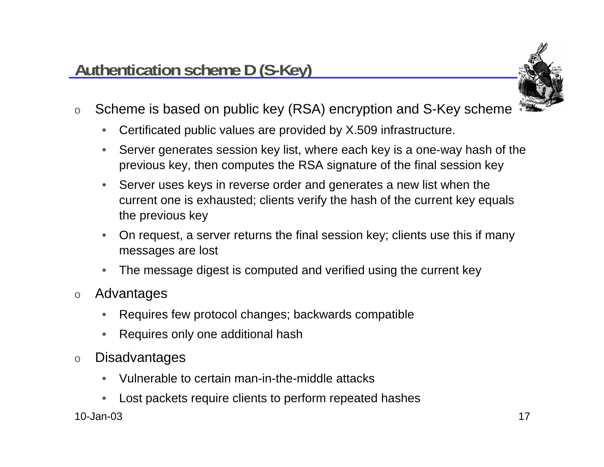

- o Scheme is based on public key (RSA) encryption and S-Key scheme
	- $\bullet$ Certificated public values are provided by X.509 infrastructure.
	- • Server generates session key list, where each key is a one-way hash of the previous key, then computes the RSA signature of the final session key
	- • Server uses keys in reverse order and generates a new list when the current one is exhausted; clients verify the hash of the current key equals the previous key
	- $\bullet$  On request, a server returns the final session key; clients use this if many messages are lost
	- •The message digest is computed and verified using the current key
- $\Omega$ **Advantages** 
	- •Requires few protocol changes; backwards compatible
	- •Requires only one additional hash
- o**Disadvantages** 
	- •Vulnerable to certain man-in-the-middle attacks
	- •Lost packets require clients to perform repeated hashes

10-Jan-03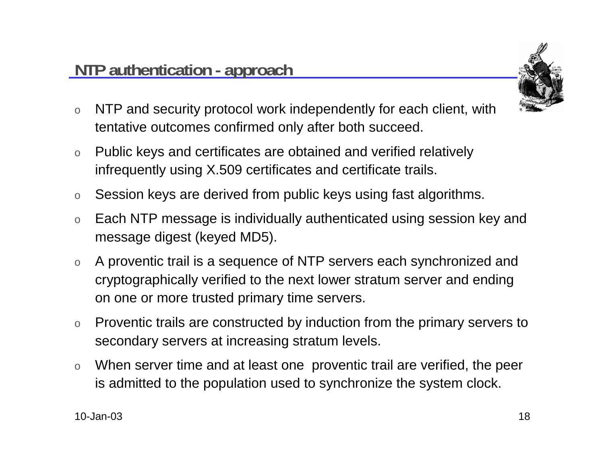

- o NTP and security protocol work independently for each client, with tentative outcomes confirmed only after both succeed.
- o Public keys and certificates are obtained and verified relatively infrequently using X.509 certificates and certificate trails.
- oSession keys are derived from public keys using fast algorithms.
- o Each NTP message is individually authenticated using session key and message digest (keyed MD5).
- o A proventic trail is a sequence of NTP servers each synchronized and cryptographically verified to the next lower stratum server and ending on one or more trusted primary time servers.
- o Proventic trails are constructed by induction from the primary servers to secondary servers at increasing stratum levels.
- o When server time and at least one proventic trail are verified, the peer is admitted to the population used to synchronize the system clock.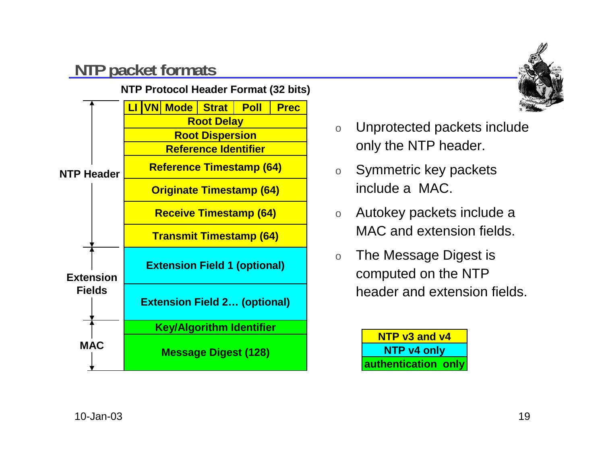## **NTP packet formats**



#### **NTP Protocol Header Format (32 bits)**



- o Unprotected packets include only the NTP header.
- o Symmetric key packets include a MAC.
- o Autokey packets include a MAC and extension fields.
- o The Message Digest is computed on the NTP header and extension fields.

**NTP v3 and v4NTP v4 only authentication only**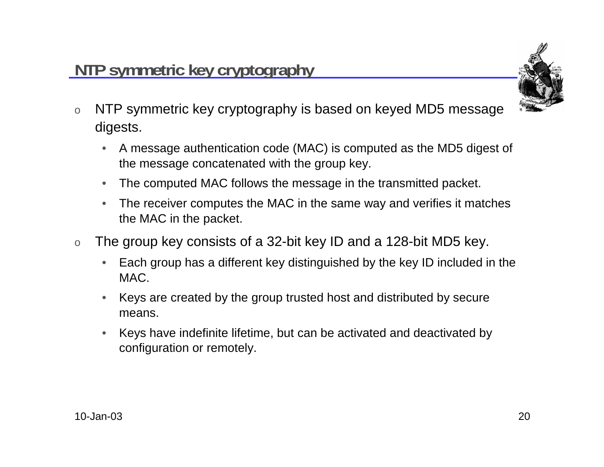

- o NTP symmetric key cryptography is based on keyed MD5 message digests.
	- $\bullet$  A message authentication code (MAC) is computed as the MD5 digest of the message concatenated with the group key.
	- •The computed MAC follows the message in the transmitted packet.
	- • The receiver computes the MAC in the same way and verifies it matches the MAC in the packet.
- o The group key consists of a 32-bit key ID and a 128-bit MD5 key.
	- • Each group has a different key distinguished by the key ID included in the MAC.
	- • Keys are created by the group trusted host and distributed by secure means.
	- • Keys have indefinite lifetime, but can be activated and deactivated by configuration or remotely.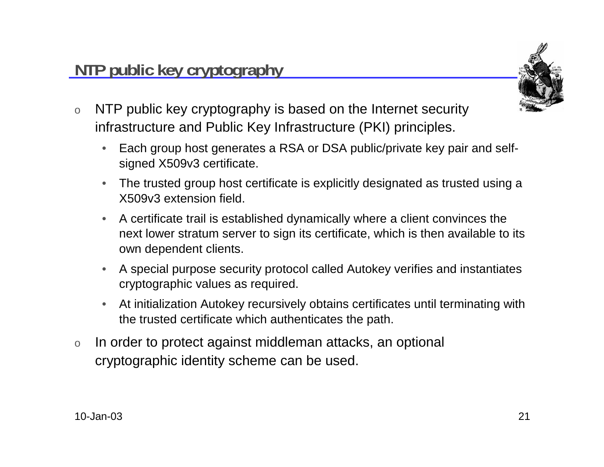o

### infrastructure and Public Key Infrastructure (PKI) principles.

**NTP public key cryptography**

 $\bullet$  Each group host generates a RSA or DSA public/private key pair and selfsigned X509v3 certificate.

NTP public key cryptography is based on the Internet security

- • The trusted group host certificate is explicitly designated as trusted using a X509v3 extension field.
- • A certificate trail is established dynamically where a client convinces the next lower stratum server to sign its certificate, which is then available to its own dependent clients.
- • A special purpose security protocol called Autokey verifies and instantiates cryptographic values as required.
- $\bullet$  At initialization Autokey recursively obtains certificates until terminating with the trusted certificate which authenticates the path.
- o In order to protect against middleman attacks, an optional cryptographic identity scheme can be used.



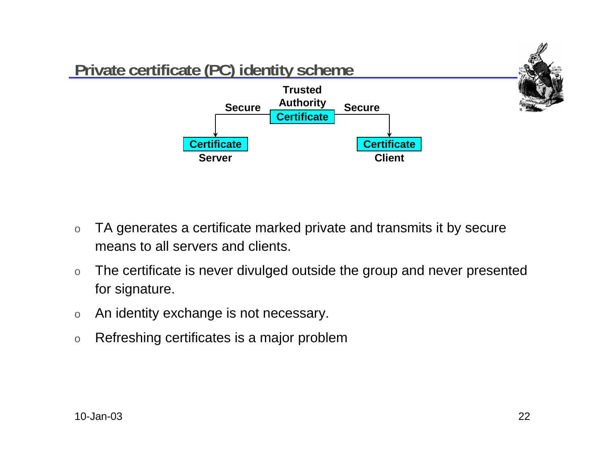

- o TA generates a certificate marked private and transmits it by secure means to all servers and clients.
- o The certificate is never divulged outside the group and never presented for signature.
- oAn identity exchange is not necessary.
- oRefreshing certificates is a major problem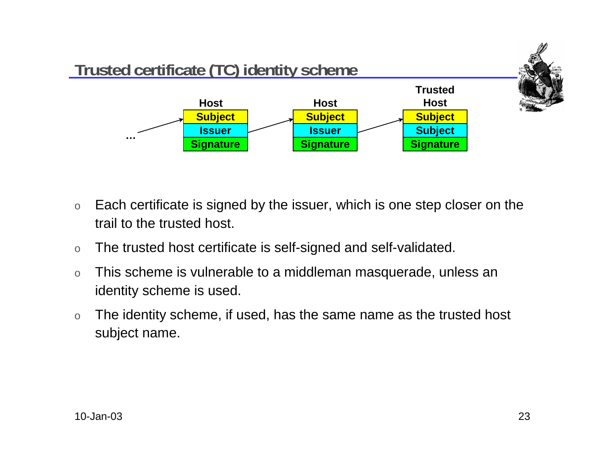

- o Each certificate is signed by the issuer, which is one step closer on the trail to the trusted host.
- oThe trusted host certificate is self-signed and self-validated.
- o This scheme is vulnerable to a middleman masquerade, unless an identity scheme is used.
- o The identity scheme, if used, has the same name as the trusted host subject name.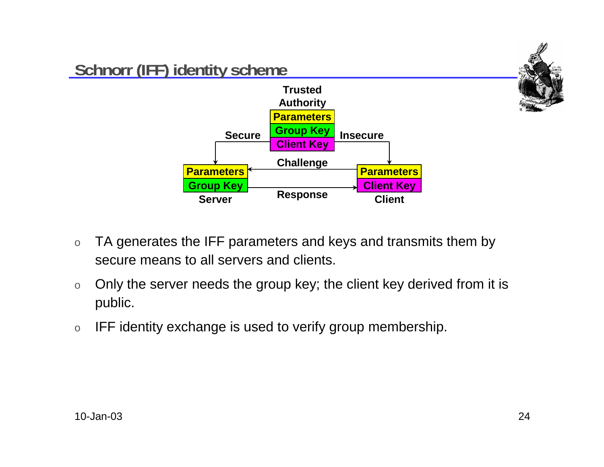

- o TA generates the IFF parameters and keys and transmits them by secure means to all servers and clients.
- o Only the server needs the group key; the client key derived from it is public.
- oIFF identity exchange is used to verify group membership.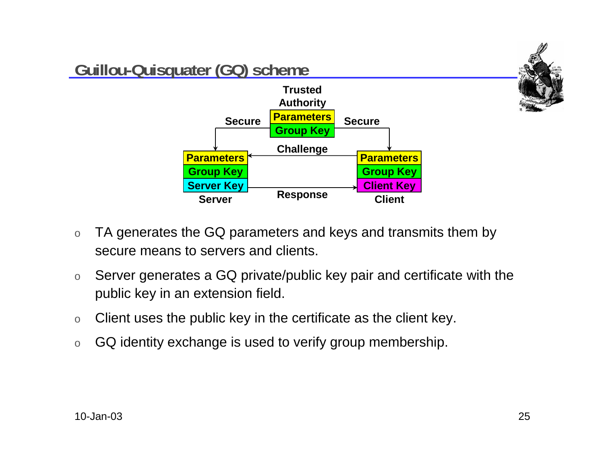

- o TA generates the GQ parameters and keys and transmits them by secure means to servers and clients.
- o Server generates a GQ private/public key pair and certificate with the public key in an extension field.
- oClient uses the public key in the certificate as the client key.
- oGQ identity exchange is used to verify group membership.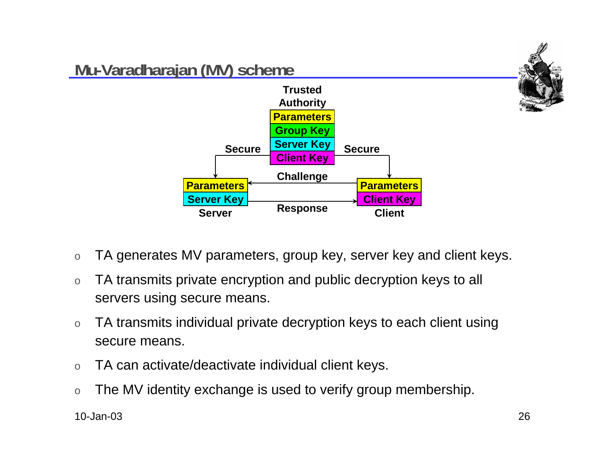

- oTA generates MV parameters, group key, server key and client keys.
- o TA transmits private encryption and public decryption keys to all servers using secure means.
- o TA transmits individual private decryption keys to each client using secure means.
- oTA can activate/deactivate individual client keys.
- oThe MV identity exchange is used to verify group membership.

10-Jan-03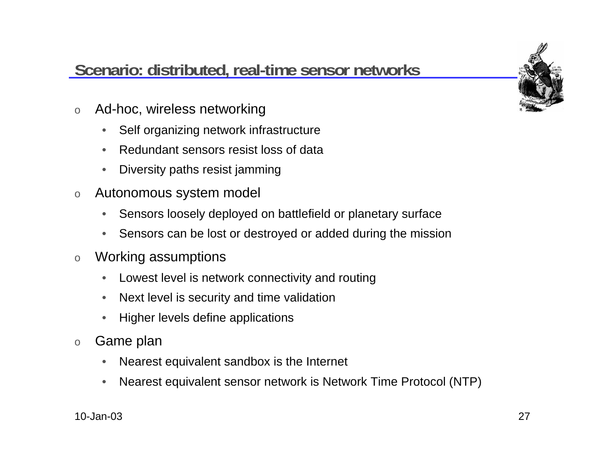## **Scenario: distributed, real-time sensor networks**

- o Ad-hoc, wireless networking
	- $\bullet$ Self organizing network infrastructure
	- •Redundant sensors resist loss of data
	- •Diversity paths resist jamming
- o Autonomous system model
	- •Sensors loosely deployed on battlefield or planetary surface
	- •Sensors can be lost or destroyed or added during the mission
- o Working assumptions
	- $\bullet$ Lowest level is network connectivity and routing
	- $\bullet$ Next level is security and time validation
	- $\bullet$ Higher levels define applications
- o Game plan
	- $\bullet$ Nearest equivalent sandbox is the Internet
	- •Nearest equivalent sensor network is Network Time Protocol (NTP)

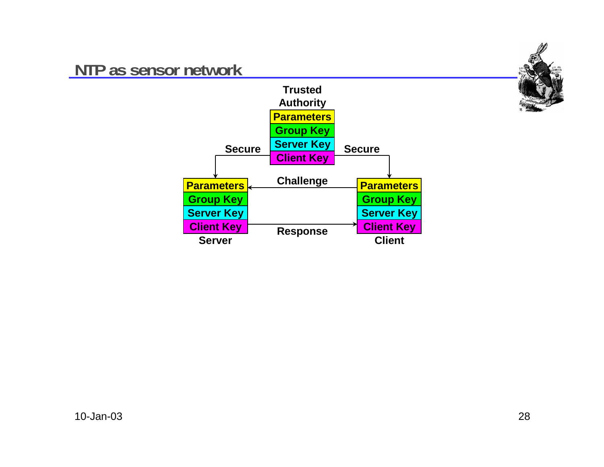### **NTP as sensor network**



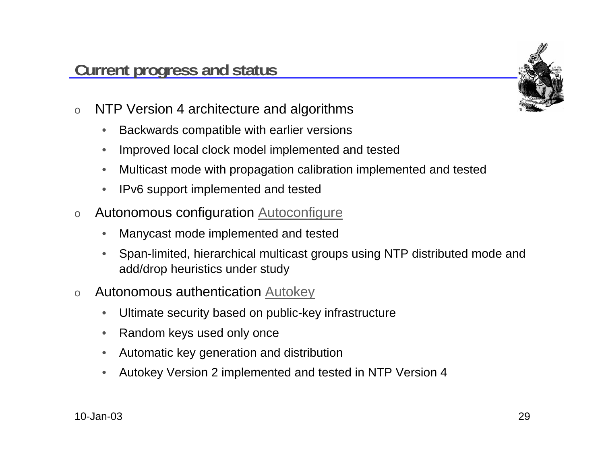

- o NTP Version 4 architecture and algorithms
	- $\bullet$ Backwards compatible with earlier versions
	- •Improved local clock model implemented and tested
	- •Multicast mode with propagation calibration implemented and tested
	- •IPv6 support implemented and tested
- o Autonomous configuration Autoconfigure
	- •Manycast mode implemented and tested
	- • Span-limited, hierarchical multicast groups using NTP distributed mode and add/drop heuristics under study
- o Autonomous authentication Autokey
	- •Ultimate security based on public-key infrastructure
	- •Random keys used only once
	- •Automatic key generation and distribution
	- •Autokey Version 2 implemented and tested in NTP Version 4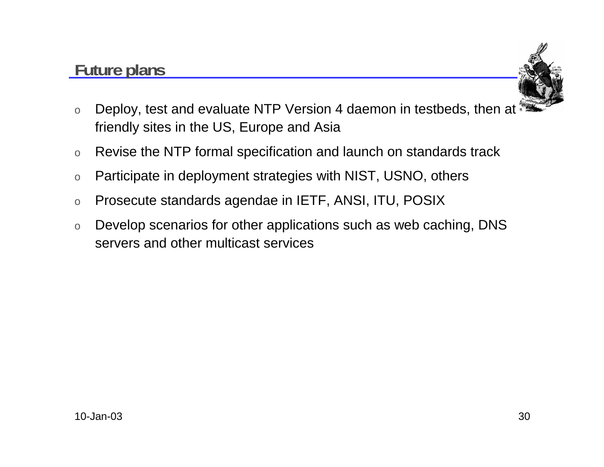### **Future plans**



- o Deploy, test and evaluate NTP Version 4 daemon in testbeds, then at friendly sites in the US, Europe and Asia
- oRevise the NTP formal specification and launch on standards track
- oParticipate in deployment strategies with NIST, USNO, others
- oProsecute standards agendae in IETF, ANSI, ITU, POSIX
- o Develop scenarios for other applications such as web caching, DNS servers and other multicast services